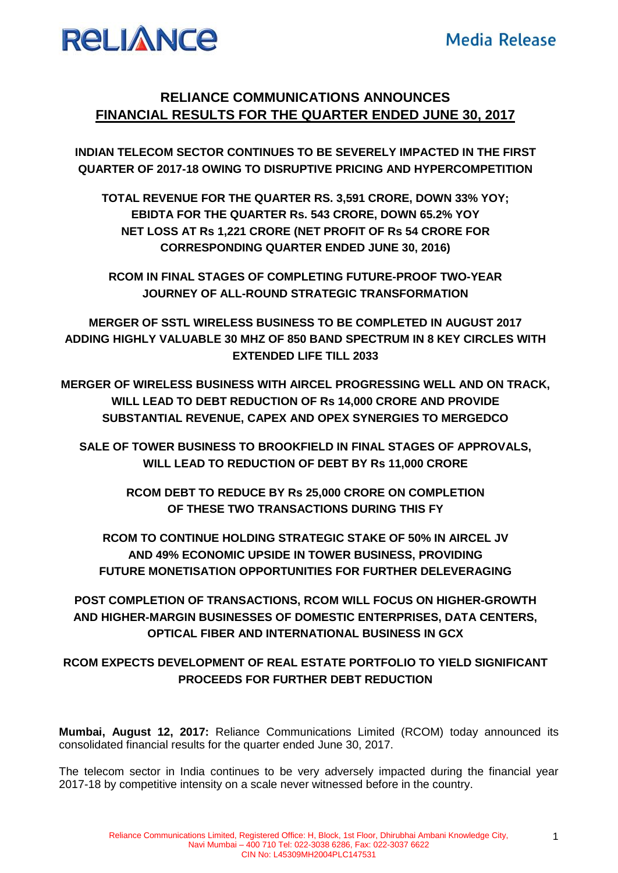# **RELIANCE**

## **RELIANCE COMMUNICATIONS ANNOUNCES FINANCIAL RESULTS FOR THE QUARTER ENDED JUNE 30, 2017**

**INDIAN TELECOM SECTOR CONTINUES TO BE SEVERELY IMPACTED IN THE FIRST QUARTER OF 2017-18 OWING TO DISRUPTIVE PRICING AND HYPERCOMPETITION**

**TOTAL REVENUE FOR THE QUARTER RS. 3,591 CRORE, DOWN 33% YOY; EBIDTA FOR THE QUARTER Rs. 543 CRORE, DOWN 65.2% YOY NET LOSS AT Rs 1,221 CRORE (NET PROFIT OF Rs 54 CRORE FOR CORRESPONDING QUARTER ENDED JUNE 30, 2016)** 

**RCOM IN FINAL STAGES OF COMPLETING FUTURE-PROOF TWO-YEAR JOURNEY OF ALL-ROUND STRATEGIC TRANSFORMATION**

**MERGER OF SSTL WIRELESS BUSINESS TO BE COMPLETED IN AUGUST 2017 ADDING HIGHLY VALUABLE 30 MHZ OF 850 BAND SPECTRUM IN 8 KEY CIRCLES WITH EXTENDED LIFE TILL 2033**

**MERGER OF WIRELESS BUSINESS WITH AIRCEL PROGRESSING WELL AND ON TRACK, WILL LEAD TO DEBT REDUCTION OF Rs 14,000 CRORE AND PROVIDE SUBSTANTIAL REVENUE, CAPEX AND OPEX SYNERGIES TO MERGEDCO**

**SALE OF TOWER BUSINESS TO BROOKFIELD IN FINAL STAGES OF APPROVALS, WILL LEAD TO REDUCTION OF DEBT BY Rs 11,000 CRORE**

> **RCOM DEBT TO REDUCE BY Rs 25,000 CRORE ON COMPLETION OF THESE TWO TRANSACTIONS DURING THIS FY**

**RCOM TO CONTINUE HOLDING STRATEGIC STAKE OF 50% IN AIRCEL JV AND 49% ECONOMIC UPSIDE IN TOWER BUSINESS, PROVIDING FUTURE MONETISATION OPPORTUNITIES FOR FURTHER DELEVERAGING**

**POST COMPLETION OF TRANSACTIONS, RCOM WILL FOCUS ON HIGHER-GROWTH AND HIGHER-MARGIN BUSINESSES OF DOMESTIC ENTERPRISES, DATA CENTERS, OPTICAL FIBER AND INTERNATIONAL BUSINESS IN GCX**

## **RCOM EXPECTS DEVELOPMENT OF REAL ESTATE PORTFOLIO TO YIELD SIGNIFICANT PROCEEDS FOR FURTHER DEBT REDUCTION**

**Mumbai, August 12, 2017:** Reliance Communications Limited (RCOM) today announced its consolidated financial results for the quarter ended June 30, 2017.

The telecom sector in India continues to be very adversely impacted during the financial year 2017-18 by competitive intensity on a scale never witnessed before in the country.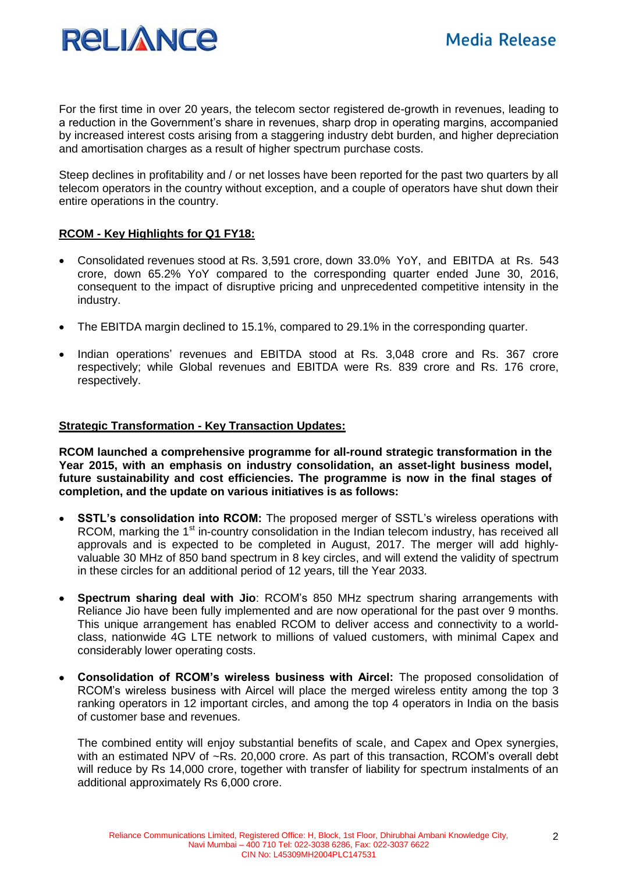

For the first time in over 20 years, the telecom sector registered de-growth in revenues, leading to a reduction in the Government's share in revenues, sharp drop in operating margins, accompanied by increased interest costs arising from a staggering industry debt burden, and higher depreciation and amortisation charges as a result of higher spectrum purchase costs.

Steep declines in profitability and / or net losses have been reported for the past two quarters by all telecom operators in the country without exception, and a couple of operators have shut down their entire operations in the country.

#### **RCOM - Key Highlights for Q1 FY18:**

- Consolidated revenues stood at Rs. 3,591 crore, down 33.0% YoY, and EBITDA at Rs. 543 crore, down 65.2% YoY compared to the corresponding quarter ended June 30, 2016, consequent to the impact of disruptive pricing and unprecedented competitive intensity in the industry.
- The EBITDA margin declined to 15.1%, compared to 29.1% in the corresponding quarter.
- Indian operations' revenues and EBITDA stood at Rs. 3,048 crore and Rs. 367 crore respectively; while Global revenues and EBITDA were Rs. 839 crore and Rs. 176 crore, respectively.

#### **Strategic Transformation - Key Transaction Updates:**

**RCOM launched a comprehensive programme for all-round strategic transformation in the Year 2015, with an emphasis on industry consolidation, an asset-light business model, future sustainability and cost efficiencies. The programme is now in the final stages of completion, and the update on various initiatives is as follows:** 

- **SSTL's consolidation into RCOM:** The proposed merger of SSTL's wireless operations with RCOM, marking the 1<sup>st</sup> in-country consolidation in the Indian telecom industry, has received all approvals and is expected to be completed in August, 2017. The merger will add highlyvaluable 30 MHz of 850 band spectrum in 8 key circles, and will extend the validity of spectrum in these circles for an additional period of 12 years, till the Year 2033.
- **Spectrum sharing deal with Jio**: RCOM's 850 MHz spectrum sharing arrangements with Reliance Jio have been fully implemented and are now operational for the past over 9 months. This unique arrangement has enabled RCOM to deliver access and connectivity to a worldclass, nationwide 4G LTE network to millions of valued customers, with minimal Capex and considerably lower operating costs.
- **Consolidation of RCOM's wireless business with Aircel:** The proposed consolidation of RCOM's wireless business with Aircel will place the merged wireless entity among the top 3 ranking operators in 12 important circles, and among the top 4 operators in India on the basis of customer base and revenues.

The combined entity will enjoy substantial benefits of scale, and Capex and Opex synergies, with an estimated NPV of ~Rs. 20,000 crore. As part of this transaction, RCOM's overall debt will reduce by Rs 14,000 crore, together with transfer of liability for spectrum instalments of an additional approximately Rs 6,000 crore.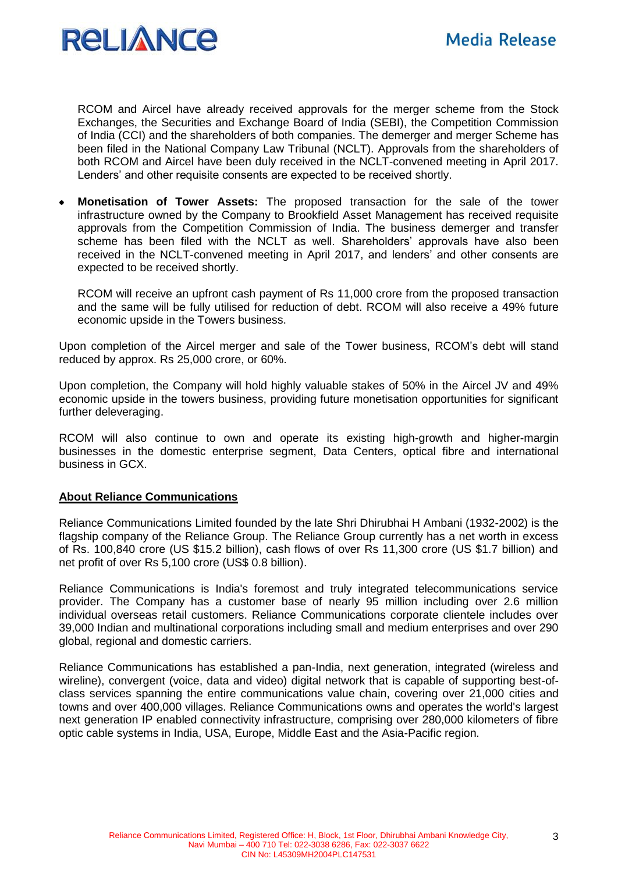

RCOM and Aircel have already received approvals for the merger scheme from the Stock Exchanges, the Securities and Exchange Board of India (SEBI), the Competition Commission of India (CCI) and the shareholders of both companies. The demerger and merger Scheme has been filed in the National Company Law Tribunal (NCLT). Approvals from the shareholders of both RCOM and Aircel have been duly received in the NCLT-convened meeting in April 2017. Lenders' and other requisite consents are expected to be received shortly.

 **Monetisation of Tower Assets:** The proposed transaction for the sale of the tower infrastructure owned by the Company to Brookfield Asset Management has received requisite approvals from the Competition Commission of India. The business demerger and transfer scheme has been filed with the NCLT as well. Shareholders' approvals have also been received in the NCLT-convened meeting in April 2017, and lenders' and other consents are expected to be received shortly.

RCOM will receive an upfront cash payment of Rs 11,000 crore from the proposed transaction and the same will be fully utilised for reduction of debt. RCOM will also receive a 49% future economic upside in the Towers business.

Upon completion of the Aircel merger and sale of the Tower business, RCOM's debt will stand reduced by approx. Rs 25,000 crore, or 60%.

Upon completion, the Company will hold highly valuable stakes of 50% in the Aircel JV and 49% economic upside in the towers business, providing future monetisation opportunities for significant further deleveraging.

RCOM will also continue to own and operate its existing high-growth and higher-margin businesses in the domestic enterprise segment, Data Centers, optical fibre and international business in GCX.

#### **About Reliance Communications**

Reliance Communications Limited founded by the late Shri Dhirubhai H Ambani (1932-2002) is the flagship company of the Reliance Group. The Reliance Group currently has a net worth in excess of Rs. 100,840 crore (US \$15.2 billion), cash flows of over Rs 11,300 crore (US \$1.7 billion) and net profit of over Rs 5,100 crore (US\$ 0.8 billion).

Reliance Communications is India's foremost and truly integrated telecommunications service provider. The Company has a customer base of nearly 95 million including over 2.6 million individual overseas retail customers. Reliance Communications corporate clientele includes over 39,000 Indian and multinational corporations including small and medium enterprises and over 290 global, regional and domestic carriers.

Reliance Communications has established a pan-India, next generation, integrated (wireless and wireline), convergent (voice, data and video) digital network that is capable of supporting best-ofclass services spanning the entire communications value chain, covering over 21,000 cities and towns and over 400,000 villages. Reliance Communications owns and operates the world's largest next generation IP enabled connectivity infrastructure, comprising over 280,000 kilometers of fibre optic cable systems in India, USA, Europe, Middle East and the Asia-Pacific region.